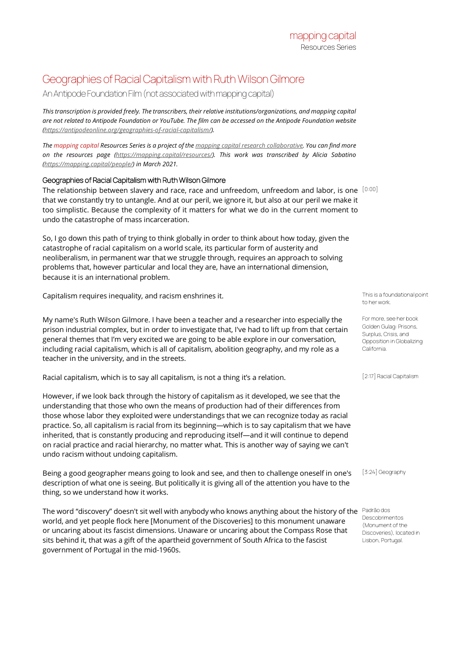## Geographies of Racial Capitalism with Ruth Wilson Gilmore

An Antipode Foundation Film (not associated with mapping capital)

*This transcription is provided freely. The transcribers, their relative institutions/organizations, and mapping capital are not related to Antipode Foundation or YouTube. The film can be accessed on the Antipode Foundation website [\(https://antipodeonline.org/geographies-of-racial-capitalism/\).](https://antipodeonline.org/geographies-of-racial-capitalism/)*

*The mapping capital Resources Series is a project of th[e mapping capital research collaborative.](https://mapping.capital/) You can find more on the resources page [\(https://mapping.capital/resources/\)](https://mapping.capital/resources/). This work was transcribed by Alicia Sabatino [\(https://mapping.capital/people/\)](https://mapping.capital/people/) in March 2021.*

## Geographies of Racial Capitalism with Ruth Wilson Gilmore

The relationship between slavery and race, race and unfreedom, unfreedom and labor, is one  $\,[0:00]$ that we constantly try to untangle. And at our peril, we ignore it, but also at our peril we make it too simplistic. Because the complexity of it matters for what we do in the current moment to undo the catastrophe of mass incarceration.

So, I go down this path of trying to think globally in order to think about how today, given the catastrophe of racial capitalism on a world scale, its particular form of austerity and neoliberalism, in permanent war that we struggle through, requires an approach to solving problems that, however particular and local they are, have an international dimension, because it is an international problem.

Capitalism requires inequality, and racism enshrines it. This is a foundational point of the state of the state of the state of the state of the state of the state of the state of the state of the state of the state of the

My name's Ruth Wilson Gilmore. I have been a teacher and a researcher into especially the prison industrial complex, but in order to investigate that, I've had to lift up from that certain general themes that I'm very excited we are going to be able explore in our conversation, including racial capitalism, which is all of capitalism, abolition geography, and my role as a teacher in the university, and in the streets.

Racial capitalism, which is to say all capitalism, is not a thing it's a relation. [2:17] Racial Capitalism

However, if we look back through the history of capitalism as it developed, we see that the understanding that those who own the means of production had of their differences from those whose labor they exploited were understandings that we can recognize today as racial practice. So, all capitalism is racial from its beginning—which is to say capitalism that we have inherited, that is constantly producing and reproducing itself—and it will continue to depend on racial practice and racial hierarchy, no matter what. This is another way of saying we can't undo racism without undoing capitalism.

Being a good geographer means going to look and see, and then to challenge oneself in one's description of what one is seeing. But politically it is giving all of the attention you have to the thing, so we understand how it works.

The word "discovery" doesn't sit well with anybody who knows anything about the history of the  $\,$  Padrão dos world, and yet people flock here [Monument of the Discoveries] to this monument unaware or uncaring about its fascist dimensions. Unaware or uncaring about the Compass Rose that sits behind it, that was a gift of the apartheid government of South Africa to the fascist government of Portugal in the mid-1960s.

to her work.

For more, see her book Golden Gulag: Prisons, Surplus, Crisis, and Opposition in Globalizing California.

[3:24] Geography

Descobrimentos (Monument of the Discoveries), located in Lisbon, Portugal.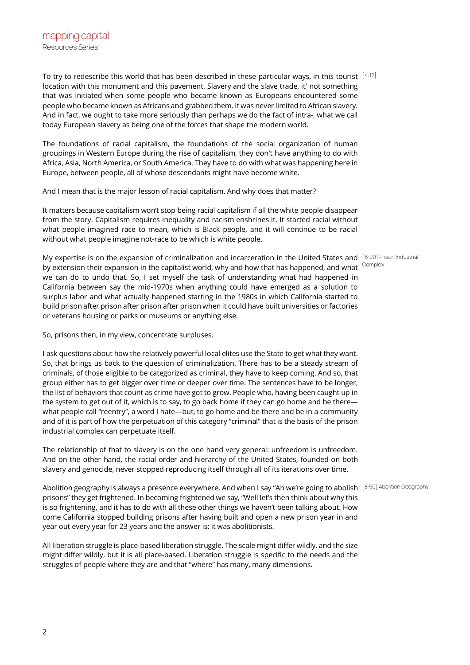$\overline{\phantom{0}}$ 

mapping capital Resources Series

To try to redescribe this world that has been described in these particular ways, in this tourist  $^{[4:12]}$ location with this monument and this pavement. Slavery and the slave trade, it' not something that was initiated when some people who became known as Europeans encountered some people who became known as Africans and grabbed them. It was never limited to African slavery. And in fact, we ought to take more seriously than perhaps we do the fact of intra-, what we call today European slavery as being one of the forces that shape the modern world.

The foundations of racial capitalism, the foundations of the social organization of human groupings in Western Europe during the rise of capitalism, they don't have anything to do with Africa, Asia, North America, or South America. They have to do with what was happening here in Europe, between people, all of whose descendants might have become white.

And I mean that is the major lesson of racial capitalism. And why does that matter?

It matters because capitalism won't stop being racial capitalism if all the white people disappear from the story. Capitalism requires inequality and racism enshrines it. It started racial without what people imagined race to mean, which is Black people, and it will continue to be racial without what people imagine not-race to be which is white people.

My expertise is on the expansion of criminalization and incarceration in the United States and [6:00] Prison Industrial by extension their expansion in the capitalist world, why and how that has happened, and what we can do to undo that. So, I set myself the task of understanding what had happened in California between say the mid-1970s when anything could have emerged as a solution to surplus labor and what actually happened starting in the 1980s in which California started to build prison after prison after prison after prison when it could have built universities or factories or veterans housing or parks or museums or anything else.

So, prisons then, in my view, concentrate surpluses.

I ask questions about how the relatively powerful local elites use the State to get what they want. So, that brings us back to the question of criminalization. There has to be a steady stream of criminals, of those eligible to be categorized as criminal, they have to keep coming. And so, that group either has to get bigger over time or deeper over time. The sentences have to be longer, the list of behaviors that count as crime have got to grow. People who, having been caught up in the system to get out of it, which is to say, to go back home if they can go home and be there what people call "reentry", a word I hate—but, to go home and be there and be in a community and of it is part of how the perpetuation of this category "criminal" that is the basis of the prison industrial complex can perpetuate itself.

The relationship of that to slavery is on the one hand very general: unfreedom is unfreedom. And on the other hand, the racial order and hierarchy of the United States, founded on both slavery and genocide, never stopped reproducing itself through all of its iterations over time.

Abolition geography is always a presence everywhere. And when I say "Ah we're going to abolish [8:50] Abolition Geography prisons" they get frightened. In becoming frightened we say, "Well let's then think about why this is so frightening, and it has to do with all these other things we haven't been talking about. How come California stopped building prisons after having built and open a new prison year in and year out every year for 23 years and the answer is: it was abolitionists.

All liberation struggle is place-based liberation struggle. The scale might differ wildly, and the size might differ wildly, but it is all place-based. Liberation struggle is specific to the needs and the struggles of people where they are and that "where" has many, many dimensions.

Complex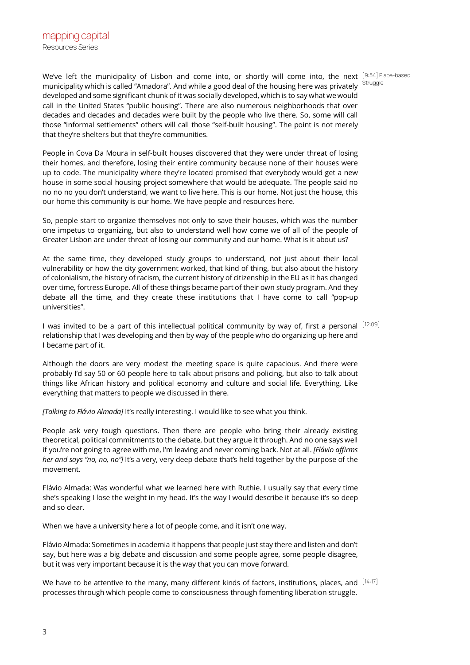We've left the municipality of Lisbon and come into, or shortly will come into, the next [9:54] Place-based municipality which is called "Amadora". And while a good deal of the housing here was privately developed and some significant chunk of it was socially developed, which is to say what we would call in the United States "public housing". There are also numerous neighborhoods that over decades and decades and decades were built by the people who live there. So, some will call those "informal settlements" others will call those "self-built housing". The point is not merely that they're shelters but that they're communities.

People in Cova Da Moura in self-built houses discovered that they were under threat of losing their homes, and therefore, losing their entire community because none of their houses were up to code. The municipality where they're located promised that everybody would get a new house in some social housing project somewhere that would be adequate. The people said no no no no you don't understand, we want to live here. This is our home. Not just the house, this our home this community is our home. We have people and resources here.

So, people start to organize themselves not only to save their houses, which was the number one impetus to organizing, but also to understand well how come we of all of the people of Greater Lisbon are under threat of losing our community and our home. What is it about us?

At the same time, they developed study groups to understand, not just about their local vulnerability or how the city government worked, that kind of thing, but also about the history of colonialism, the history of racism, the current history of citizenship in the EU as it has changed over time, fortress Europe. All of these things became part of their own study program. And they debate all the time, and they create these institutions that I have come to call "pop-up universities".

I was invited to be a part of this intellectual political community by way of, first a personal  $^{[12:09]}$ relationship that I was developing and then by way of the people who do organizing up here and I became part of it.

Although the doors are very modest the meeting space is quite capacious. And there were probably I'd say 50 or 60 people here to talk about prisons and policing, but also to talk about things like African history and political economy and culture and social life. Everything. Like everything that matters to people we discussed in there.

*[Talking to Flávio Almada]* It's really interesting. I would like to see what you think.

People ask very tough questions. Then there are people who bring their already existing theoretical, political commitments to the debate, but they argue it through. And no one says well if you're not going to agree with me, I'm leaving and never coming back. Not at all. *[Flávio affirms her and says "no, no, no"]* It's a very, very deep debate that's held together by the purpose of the movement.

Flávio Almada: Was wonderful what we learned here with Ruthie. I usually say that every time she's speaking I lose the weight in my head. It's the way I would describe it because it's so deep and so clear.

When we have a university here a lot of people come, and it isn't one way.

Flávio Almada: Sometimes in academia it happens that people just stay there and listen and don't say, but here was a big debate and discussion and some people agree, some people disagree, but it was very important because it is the way that you can move forward.

We have to be attentive to the many, many different kinds of factors, institutions, places, and  $[14:17]$ processes through which people come to consciousness through fomenting liberation struggle.

**Struggle**